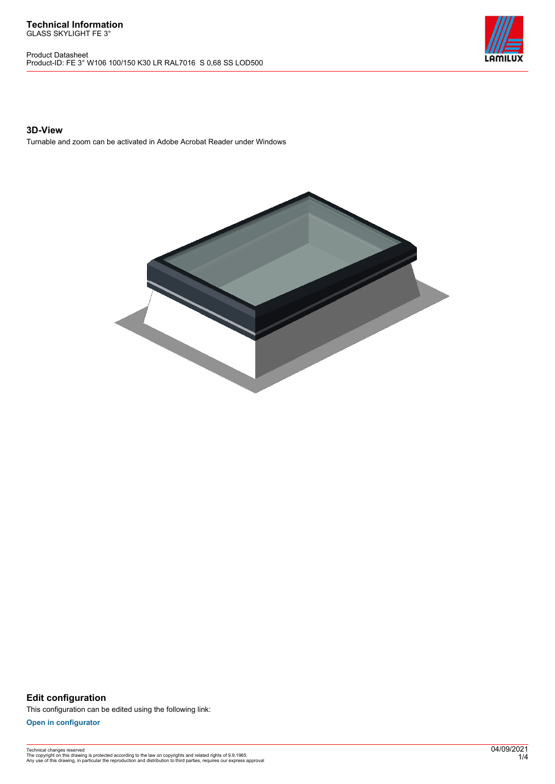Product Datasheet Product-ID: FE 3° W106 100/150 K30 LR RAL7016 S 0,68 SS LOD500



### **3D-View**

Turnable and zoom can be activated in Adobe Acrobat Reader under Windows



**Edit configuration** This configuration can be edited using the following link:

**[Open in configurator](https://bimconfig.lamilux.com//?quickcode=QHBKED)**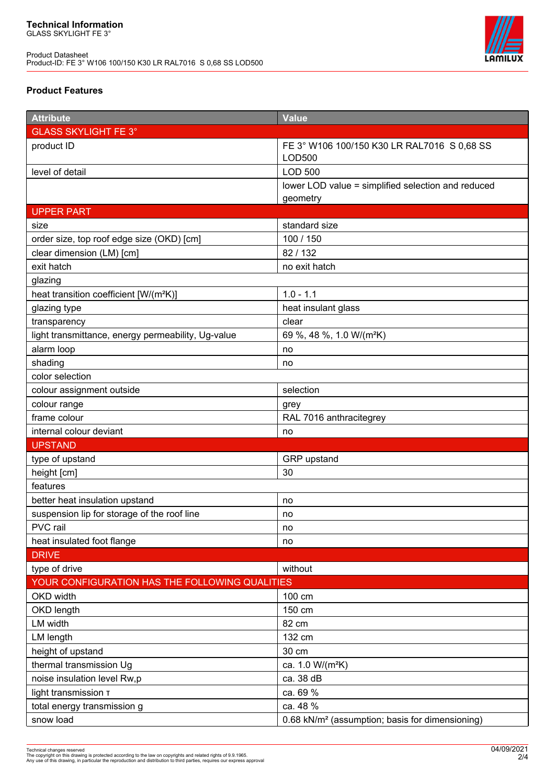

# **Product Features**

| <b>Attribute</b>                                   | <b>Value</b>                                                |
|----------------------------------------------------|-------------------------------------------------------------|
| <b>GLASS SKYLIGHT FE 3°</b>                        |                                                             |
| product ID                                         | FE 3° W106 100/150 K30 LR RAL7016 S 0,68 SS<br>LOD500       |
| level of detail                                    | <b>LOD 500</b>                                              |
|                                                    | lower LOD value = simplified selection and reduced          |
|                                                    | geometry                                                    |
| <b>UPPER PART</b>                                  |                                                             |
| size                                               | standard size                                               |
| order size, top roof edge size (OKD) [cm]          | 100 / 150                                                   |
| clear dimension (LM) [cm]                          | 82/132                                                      |
| exit hatch                                         | no exit hatch                                               |
| glazing                                            |                                                             |
| heat transition coefficient [W/(m <sup>2</sup> K)] | $1.0 - 1.1$                                                 |
| glazing type                                       | heat insulant glass                                         |
| transparency                                       | clear                                                       |
| light transmittance, energy permeability, Ug-value | 69 %, 48 %, 1.0 W/(m <sup>2</sup> K)                        |
| alarm loop                                         | no                                                          |
| shading                                            | no                                                          |
| color selection                                    |                                                             |
| colour assignment outside                          | selection                                                   |
| colour range                                       | grey                                                        |
| frame colour                                       | RAL 7016 anthracitegrey                                     |
| internal colour deviant                            | no                                                          |
| <b>UPSTAND</b>                                     |                                                             |
| type of upstand                                    | GRP upstand                                                 |
| height [cm]                                        | 30                                                          |
| features                                           |                                                             |
| better heat insulation upstand                     | no                                                          |
| suspension lip for storage of the roof line        | no                                                          |
| PVC rail                                           | no                                                          |
| heat insulated foot flange                         | no                                                          |
| <b>DRIVE</b>                                       |                                                             |
| type of drive                                      | without                                                     |
| YOUR CONFIGURATION HAS THE FOLLOWING QUALITIES     |                                                             |
| OKD width                                          | 100 cm                                                      |
| OKD length                                         | 150 cm                                                      |
| LM width                                           | 82 cm                                                       |
| LM length                                          | 132 cm                                                      |
| height of upstand                                  | 30 cm                                                       |
| thermal transmission Ug                            | ca. 1.0 W/(m <sup>2</sup> K)                                |
| noise insulation level Rw,p                        | ca. 38 dB                                                   |
| light transmission T                               | ca. 69 %                                                    |
| total energy transmission g                        | ca. 48 %                                                    |
| snow load                                          | 0.68 kN/m <sup>2</sup> (assumption; basis for dimensioning) |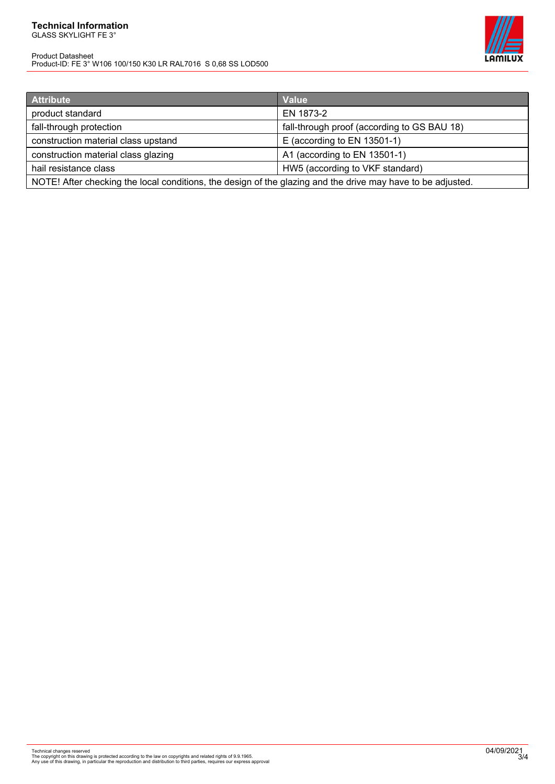#### **Technical Information** GLASS SKYLIGHT FE 3°

Product Datasheet Product-ID: FE 3° W106 100/150 K30 LR RAL7016 S 0,68 SS LOD500



| <b>Attribute</b>                                                                                            | Value                                       |
|-------------------------------------------------------------------------------------------------------------|---------------------------------------------|
| product standard                                                                                            | EN 1873-2                                   |
| fall-through protection                                                                                     | fall-through proof (according to GS BAU 18) |
| construction material class upstand                                                                         | E (according to EN 13501-1)                 |
| construction material class glazing                                                                         | A1 (according to EN 13501-1)                |
| hail resistance class                                                                                       | HW5 (according to VKF standard)             |
| NOTE! After checking the local conditions, the design of the glazing and the drive may have to be adjusted. |                                             |

Technical changes reserved<br>The copyright on this drawing is protected according to the law on copyrights and related rights of 9.9.1965.<br>Any use of this drawing, in particular the reproduction and distribution to third par